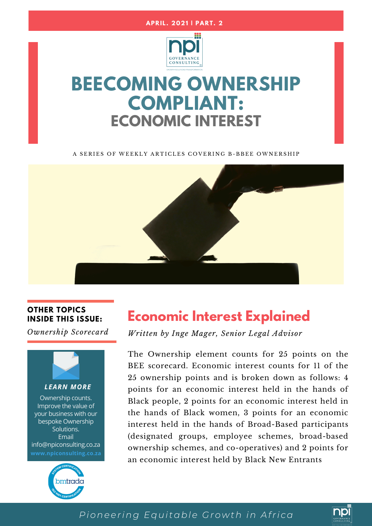



# **BEECOMING OWNERSHIP COMPLIANT: ECONOMIC INTEREST**

A SERIES OF WEEKLY ARTICLES COVERING B-BBEE OWNERSHIP



### **OTHER TOPICS INSIDE THIS ISSUE:**

*Ownership Scorecard*



*LEARN MORE*

Ownership counts. Improve the value of your business with our bespoke Ownership Solutions. Email info@npiconsulting.co.za **www.npiconsulting.co.za**



## **Economic Interest Explained**

*Written by Inge Mager, Senior Legal Advisor*

The Ownership element counts for 25 points on the BEE scorecard. Economic interest counts for 11 of the 25 ownership points and is broken down as follows: 4 points for an economic interest held in the hands of Black people, 2 points for an economic interest held in the hands of Black women, 3 points for an economic interest held in the hands of Broad-Based participants (designated groups, employee schemes, broad-based ownership schemes, and co-operatives) and 2 points for an economic interest held by Black New Entrants

### *Pioneering Equitable Growth in Afri ca*